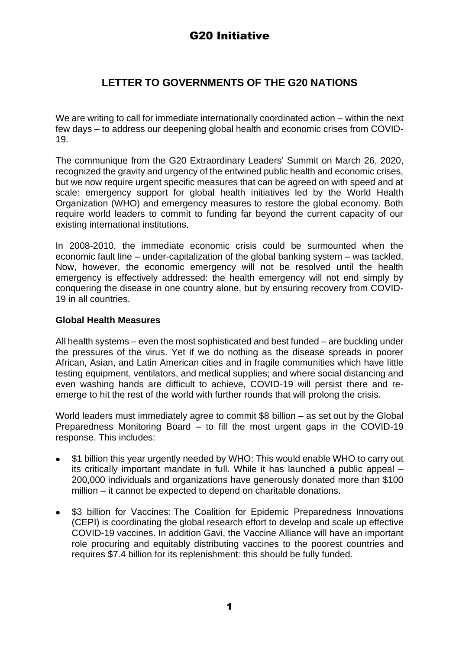# **LETTER TO GOVERNMENTS OF THE G20 NATIONS**

We are writing to call for immediate internationally coordinated action – within the next few days – to address our deepening global health and economic crises from COVID-19.

The communique from the G20 Extraordinary Leaders' Summit on March 26, 2020, recognized the gravity and urgency of the entwined public health and economic crises, but we now require urgent specific measures that can be agreed on with speed and at scale: emergency support for global health initiatives led by the World Health Organization (WHO) and emergency measures to restore the global economy. Both require world leaders to commit to funding far beyond the current capacity of our existing international institutions.

In 2008-2010, the immediate economic crisis could be surmounted when the economic fault line – under-capitalization of the global banking system – was tackled. Now, however, the economic emergency will not be resolved until the health emergency is effectively addressed: the health emergency will not end simply by conquering the disease in one country alone, but by ensuring recovery from COVID-19 in all countries.

## **Global Health Measures**

All health systems – even the most sophisticated and best funded – are buckling under the pressures of the virus. Yet if we do nothing as the disease spreads in poorer African, Asian, and Latin American cities and in fragile communities which have little testing equipment, ventilators, and medical supplies; and where social distancing and even washing hands are difficult to achieve, COVID-19 will persist there and reemerge to hit the rest of the world with further rounds that will prolong the crisis.

World leaders must immediately agree to commit \$8 billion – as set out by the Global Preparedness Monitoring Board – to fill the most urgent gaps in the COVID-19 response. This includes:

- ⚫ \$1 billion this year urgently needed by WHO: This would enable WHO to carry out its critically important mandate in full. While it has launched a public appeal – 200,000 individuals and organizations have generously donated more than \$100 million – it cannot be expected to depend on charitable donations.
- \$3 billion for Vaccines: The Coalition for Epidemic Preparedness Innovations (CEPI) is coordinating the global research effort to develop and scale up effective COVID-19 vaccines. In addition Gavi, the Vaccine Alliance will have an important role procuring and equitably distributing vaccines to the poorest countries and requires \$7.4 billion for its replenishment: this should be fully funded.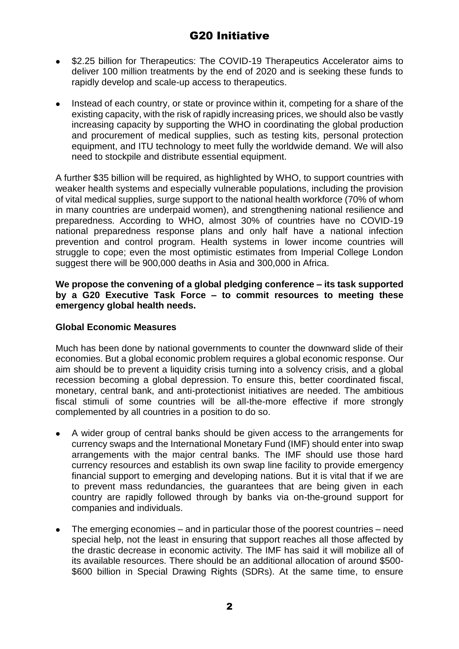- \$2.25 billion for Therapeutics: The COVID-19 Therapeutics Accelerator aims to deliver 100 million treatments by the end of 2020 and is seeking these funds to rapidly develop and scale-up access to therapeutics.
- ⚫ Instead of each country, or state or province within it, competing for a share of the existing capacity, with the risk of rapidly increasing prices, we should also be vastly increasing capacity by supporting the WHO in coordinating the global production and procurement of medical supplies, such as testing kits, personal protection equipment, and ITU technology to meet fully the worldwide demand. We will also need to stockpile and distribute essential equipment.

A further \$35 billion will be required, as highlighted by WHO, to support countries with weaker health systems and especially vulnerable populations, including the provision of vital medical supplies, surge support to the national health workforce (70% of whom in many countries are underpaid women), and strengthening national resilience and preparedness. According to WHO, almost 30% of countries have no COVID-19 national preparedness response plans and only half have a national infection prevention and control program. Health systems in lower income countries will struggle to cope; even the most optimistic estimates from Imperial College London suggest there will be 900,000 deaths in Asia and 300,000 in Africa.

### **We propose the convening of a global pledging conference – its task supported by a G20 Executive Task Force – to commit resources to meeting these emergency global health needs.**

## **Global Economic Measures**

Much has been done by national governments to counter the downward slide of their economies. But a global economic problem requires a global economic response. Our aim should be to prevent a liquidity crisis turning into a solvency crisis, and a global recession becoming a global depression. To ensure this, better coordinated fiscal, monetary, central bank, and anti-protectionist initiatives are needed. The ambitious fiscal stimuli of some countries will be all-the-more effective if more strongly complemented by all countries in a position to do so.

- ⚫ A wider group of central banks should be given access to the arrangements for currency swaps and the International Monetary Fund (IMF) should enter into swap arrangements with the major central banks. The IMF should use those hard currency resources and establish its own swap line facility to provide emergency financial support to emerging and developing nations. But it is vital that if we are to prevent mass redundancies, the guarantees that are being given in each country are rapidly followed through by banks via on-the-ground support for companies and individuals.
- ⚫ The emerging economies and in particular those of the poorest countries need special help, not the least in ensuring that support reaches all those affected by the drastic decrease in economic activity. The IMF has said it will mobilize all of its available resources. There should be an additional allocation of around \$500- \$600 billion in Special Drawing Rights (SDRs). At the same time, to ensure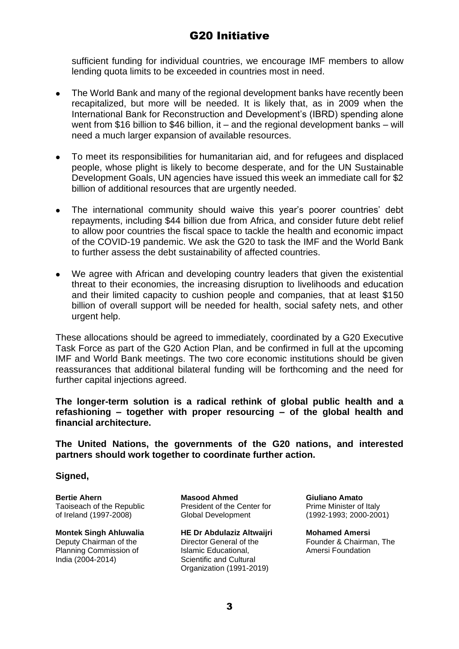sufficient funding for individual countries, we encourage IMF members to allow lending quota limits to be exceeded in countries most in need.

- ⚫ The World Bank and many of the regional development banks have recently been recapitalized, but more will be needed. It is likely that, as in 2009 when the International Bank for Reconstruction and Development's (IBRD) spending alone went from \$16 billion to \$46 billion, it – and the regional development banks – will need a much larger expansion of available resources.
- ⚫ To meet its responsibilities for humanitarian aid, and for refugees and displaced people, whose plight is likely to become desperate, and for the UN Sustainable Development Goals, UN agencies have issued this week an immediate call for \$2 billion of additional resources that are urgently needed.
- ⚫ The international community should waive this year's poorer countries' debt repayments, including \$44 billion due from Africa, and consider future debt relief to allow poor countries the fiscal space to tackle the health and economic impact of the COVID-19 pandemic. We ask the G20 to task the IMF and the World Bank to further assess the debt sustainability of affected countries.
- ⚫ We agree with African and developing country leaders that given the existential threat to their economies, the increasing disruption to livelihoods and education and their limited capacity to cushion people and companies, that at least \$150 billion of overall support will be needed for health, social safety nets, and other urgent help.

These allocations should be agreed to immediately, coordinated by a G20 Executive Task Force as part of the G20 Action Plan, and be confirmed in full at the upcoming IMF and World Bank meetings. The two core economic institutions should be given reassurances that additional bilateral funding will be forthcoming and the need for further capital injections agreed.

**The longer-term solution is a radical rethink of global public health and a refashioning – together with proper resourcing – of the global health and financial architecture.**

**The United Nations, the governments of the G20 nations, and interested partners should work together to coordinate further action.** 

## **Signed,**

**Bertie Ahern** Taoiseach of the Republic of Ireland (1997-2008)

**Montek Singh Ahluwalia** Deputy Chairman of the Planning Commission of India (2004-2014)

**Masood Ahmed** President of the Center for Global Development

**HE Dr Abdulaziz Altwaijri** Director General of the Islamic Educational, Scientific and Cultural Organization (1991-2019)

**Giuliano Amato** Prime Minister of Italy (1992-1993; 2000-2001)

**Mohamed Amersi** Founder & Chairman, The Amersi Foundation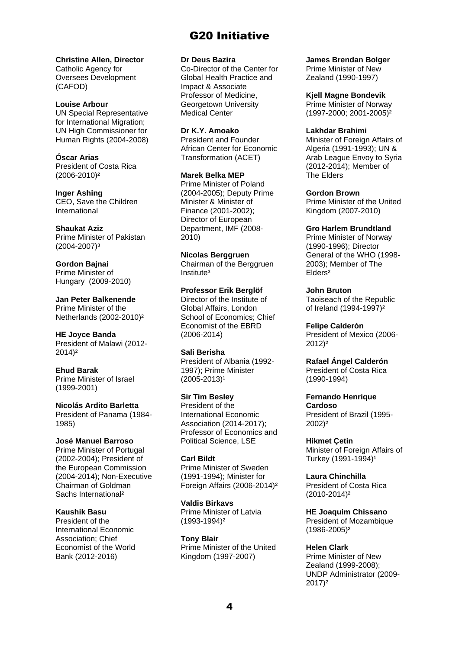**Christine Allen, Director** Catholic Agency for Oversees Development (CAFOD)

**Louise Arbour**  UN Special Representative for International Migration; UN High Commissioner for Human Rights (2004-2008)

**Óscar Arias** President of Costa Rica (2006-2010)²

**Inger Ashing** CEO, Save the Children International

**Shaukat Aziz** Prime Minister of Pakistan (2004-2007)³

**Gordon Bajnai** Prime Minister of Hungary (2009-2010)

**Jan Peter Balkenende** Prime Minister of the Netherlands (2002-2010)²

**HE Joyce Banda** President of Malawi (2012- 2014)²

**Ehud Barak** Prime Minister of Israel (1999-2001)

**Nicolás Ardito Barletta** President of Panama (1984- 1985)

**José Manuel Barroso** Prime Minister of Portugal (2002-2004); President of the European Commission

(2004-2014); Non-Executive Chairman of Goldman Sachs International²

**Kaushik Basu**

President of the International Economic Association; Chief Economist of the World Bank (2012-2016)

**Dr Deus Bazira**

Co-Director of the Center for Global Health Practice and Impact & Associate Professor of Medicine, Georgetown University Medical Center

**Dr K.Y. Amoako** President and Founder African Center for Economic Transformation (ACET)

**Marek Belka MEP** Prime Minister of Poland (2004-2005); Deputy Prime Minister & Minister of Finance (2001-2002); Director of European Department, IMF (2008- 2010)

**Nicolas Berggruen** Chairman of the Berggruen Institute<sup>3</sup>

**Professor Erik Berglöf** Director of the Institute of Global Affairs, London School of Economics; Chief Economist of the EBRD (2006-2014)

**Sali Berisha** President of Albania (1992- 1997); Prime Minister  $(2005 - 2013)^1$ 

**Sir Tim Besley** President of the International Economic Association (2014-2017); Professor of Economics and Political Science, LSE

**Carl Bildt** Prime Minister of Sweden (1991-1994); Minister for Foreign Affairs (2006-2014)²

**Valdis Birkavs**  Prime Minister of Latvia (1993-1994)²

**Tony Blair** Prime Minister of the United Kingdom (1997-2007)

**James Brendan Bolger**

Prime Minister of New Zealand (1990-1997)

**Kjell Magne Bondevik** Prime Minister of Norway (1997-2000; 2001-2005)²

**Lakhdar Brahimi**

Minister of Foreign Affairs of Algeria (1991-1993); UN & Arab League Envoy to Syria (2012-2014); Member of The Elders

**Gordon Brown**

Prime Minister of the United Kingdom (2007-2010)

**Gro Harlem Brundtland**

Prime Minister of Norway (1990-1996); Director General of the WHO (1998- 2003); Member of The Elders²

**John Bruton**

Taoiseach of the Republic of Ireland (1994-1997)²

**Felipe Calderón** President of Mexico (2006- 2012)²

**Rafael Ángel Calderón** President of Costa Rica (1990-1994)

**Fernando Henrique Cardoso** President of Brazil (1995- 2002)²

**Hikmet Çetin** Minister of Foreign Affairs of Turkey (1991-1994)<sup>1</sup>

**Laura Chinchilla** President of Costa Rica (2010-2014)²

**HE Joaquim Chissano** President of Mozambique (1986-2005)²

**Helen Clark**

Prime Minister of New Zealand (1999-2008); UNDP Administrator (2009- 2017)²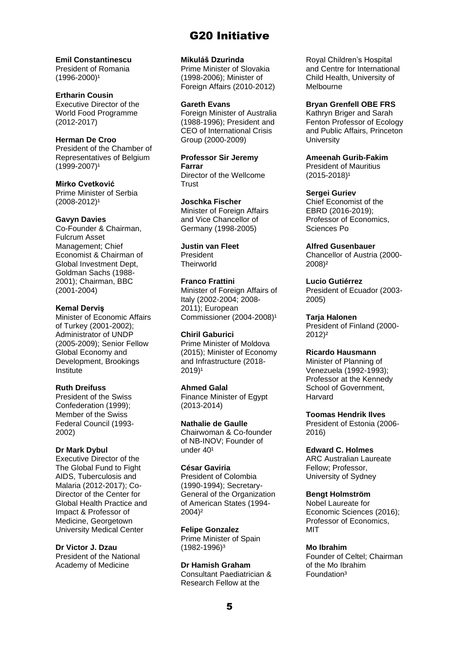**Emil Constantinescu** President of Romania  $(1996 - 2000)^1$ 

**Ertharin Cousin** Executive Director of the World Food Programme (2012-2017)

**Herman De Croo**  President of the Chamber of Representatives of Belgium  $(1999 - 2007)^1$ 

**Mirko Cvetković** Prime Minister of Serbia  $(2008 - 2012)^1$ 

#### **Gavyn Davies**

Co-Founder & Chairman, Fulcrum Asset Management; Chief Economist & Chairman of Global Investment Dept, Goldman Sachs (1988- 2001); Chairman, BBC (2001-2004)

### **Kemal Derviş**

Minister of Economic Affairs of Turkey (2001-2002); Administrator of UNDP (2005-2009); Senior Fellow Global Economy and Development, Brookings Institute

#### **Ruth Dreifuss**

President of the Swiss Confederation (1999); Member of the Swiss Federal Council (1993- 2002)

#### **Dr Mark Dybul**

Executive Director of the The Global Fund to Fight AIDS, Tuberculosis and Malaria (2012-2017); Co-Director of the Center for Global Health Practice and Impact & Professor of Medicine, Georgetown University Medical Center

**Dr Victor J. Dzau**

President of the National Academy of Medicine

**Mikuláš Dzurinda** 

Prime Minister of Slovakia (1998-2006); Minister of Foreign Affairs (2010-2012)

**Gareth Evans** Foreign Minister of Australia (1988-1996); President and CEO of International Crisis

Group (2000-2009)

**Professor Sir Jeremy Farrar** Director of the Wellcome **Trust** 

**Joschka Fischer** Minister of Foreign Affairs and Vice Chancellor of Germany (1998-2005)

**Justin van Fleet** President **Theirworld** 

**Franco Frattini**  Minister of Foreign Affairs of Italy (2002-2004; 2008- 2011); European

**Chiril Gaburici**

Prime Minister of Moldova (2015); Minister of Economy and Infrastructure (2018-  $2019$ <sup>1</sup>

Commissioner (2004-2008)<sup>1</sup>

#### **Ahmed Galal**

Finance Minister of Egypt (2013-2014)

**Nathalie de Gaulle**  Chairwoman & Co-founder of NB-INOV; Founder of under 40<sup>1</sup>

**César Gaviria**

President of Colombia (1990-1994); Secretary-General of the Organization of American States (1994- 2004)²

**Felipe Gonzalez** Prime Minister of Spain (1982-1996)³

**Dr Hamish Graham** Consultant Paediatrician & Research Fellow at the

Royal Children's Hospital and Centre for International Child Health, University of Melbourne

**Bryan Grenfell OBE FRS**

Kathryn Briger and Sarah Fenton Professor of Ecology and Public Affairs, Princeton **University** 

**Ameenah Gurib-Fakim** President of Mauritius  $(2015 - 2018)^1$ 

**Sergei Guriev** Chief Economist of the EBRD (2016-2019); Professor of Economics, Sciences Po

**Alfred Gusenbauer** Chancellor of Austria (2000- 2008)²

**Lucio Gutiérrez** President of Ecuador (2003- 2005)

**Tarja Halonen**  President of Finland (2000- 2012)²

**Ricardo Hausmann** Minister of Planning of Venezuela (1992-1993); Professor at the Kennedy School of Government, Harvard

**Toomas Hendrik Ilves** President of Estonia (2006- 2016)

**Edward C. Holmes** ARC Australian Laureate Fellow; Professor, University of Sydney

**Bengt Holmström**

Nobel Laureate for Economic Sciences (2016); Professor of Economics, MIT

**Mo Ibrahim**

Founder of Celtel; Chairman of the Mo Ibrahim Foundation³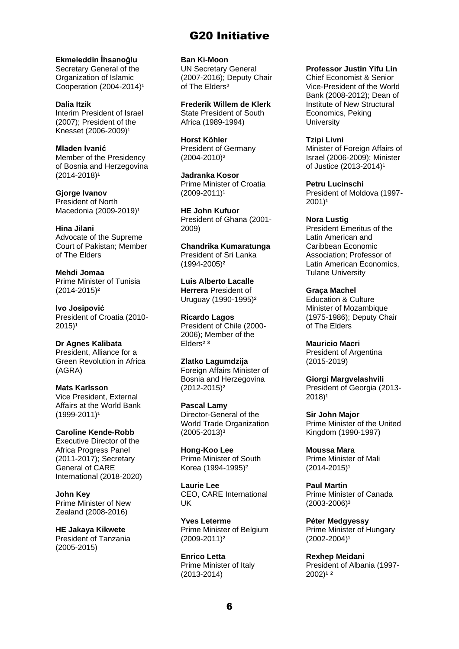**Ekmeleddin İhsanoğlu**  Secretary General of the

Organization of Islamic Cooperation  $(2004-2014)^1$ 

**Dalia Itzik** Interim President of Israel (2007); President of the Knesset (2006-2009)<sup>1</sup>

**Mladen Ivanić**  Member of the Presidency of Bosnia and Herzegovina  $(2014 - 2018)^1$ 

**Gjorge Ivanov** President of North Macedonia (2009-2019)<sup>1</sup>

**Hina Jilani**  Advocate of the Supreme Court of Pakistan; Member of The Elders

**Mehdi Jomaa**  Prime Minister of Tunisia (2014-2015)²

**Ivo Josipović**  President of Croatia (2010-  $2015$ <sup>1</sup>

**Dr Agnes Kalibata** President, Alliance for a Green Revolution in Africa (AGRA)

**Mats Karlsson** Vice President, External Affairs at the World Bank  $(1999 - 2011)^1$ 

**Caroline Kende-Robb** Executive Director of the Africa Progress Panel (2011-2017); Secretary General of CARE International (2018-2020)

**John Key** Prime Minister of New Zealand (2008-2016)

**HE Jakaya Kikwete**  President of Tanzania (2005-2015)

**Ban Ki-Moon**  UN Secretary General (2007-2016); Deputy Chair of The Elders²

**Frederik Willem de Klerk** State President of South Africa (1989-1994)

**Horst Köhler** President of Germany (2004-2010)²

**Jadranka Kosor** Prime Minister of Croatia  $(2009 - 2011)^1$ 

**HE John Kufuor** President of Ghana (2001- 2009)

**Chandrika Kumaratunga** President of Sri Lanka (1994-2005)²

**Luis Alberto Lacalle Herrera** President of Uruguay (1990-1995)²

**Ricardo Lagos**  President of Chile (2000- 2006); Member of the Elders<sup>23</sup>

**Zlatko Lagumdzija** Foreign Affairs Minister of Bosnia and Herzegovina (2012-2015)²

**Pascal Lamy** Director-General of the World Trade Organization  $(2005 - 2013)^3$ 

**Hong-Koo Lee** Prime Minister of South Korea (1994-1995)²

**Laurie Lee** CEO, CARE International UK

**Yves Leterme** Prime Minister of Belgium (2009-2011)²

**Enrico Letta** Prime Minister of Italy (2013-2014)

**Professor Justin Yifu Lin**

Chief Economist & Senior Vice-President of the World Bank (2008-2012); Dean of Institute of New Structural Economics, Peking **University** 

**Tzipi Livni**  Minister of Foreign Affairs of Israel (2006-2009); Minister of Justice (2013-2014)<sup>1</sup>

**Petru Lucinschi**  President of Moldova (1997-  $2001$ <sup>1</sup>

**Nora Lustig** President Emeritus of the Latin American and Caribbean Economic Association; Professor of Latin American Economics, Tulane University

**Graça Machel** Education & Culture Minister of Mozambique (1975-1986); Deputy Chair of The Elders

**Mauricio Macri** President of Argentina (2015-2019)

**Giorgi Margvelashvili** President of Georgia (2013-  $2018$ <sup>1</sup>

**Sir John Major** Prime Minister of the United Kingdom (1990-1997)

**Moussa Mara** Prime Minister of Mali  $(2014 - 2015)^1$ 

**Paul Martin** Prime Minister of Canada (2003-2006)³

**Péter Medgyessy**  Prime Minister of Hungary  $(2002 - 2004)^1$ 

**Rexhep Meidani** President of Albania (1997- 2002)<sup>12</sup>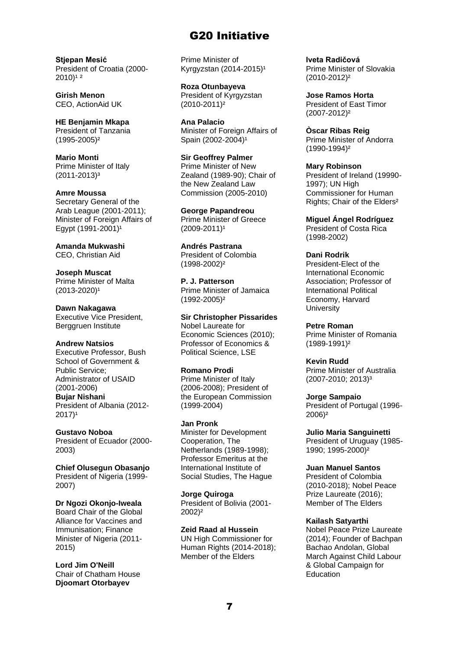**Stjepan Mesić** President of Croatia (2000-  $2010$ <sup>12</sup>

**Girish Menon** CEO, ActionAid UK

**HE Benjamin Mkapa** President of Tanzania (1995-2005)²

**Mario Monti** Prime Minister of Italy (2011-2013)³

**Amre Moussa**  Secretary General of the Arab League (2001-2011); Minister of Foreign Affairs of Egypt  $(1991 - 2001)^{1}$ 

**Amanda Mukwashi** CEO, Christian Aid

**Joseph Muscat** Prime Minister of Malta  $(2013 - 2020)^1$ 

**Dawn Nakagawa** Executive Vice President, Berggruen Institute

**Andrew Natsios** Executive Professor, Bush

School of Government & Public Service; Administrator of USAID (2001-2006) **Bujar Nishani**  President of Albania (2012-  $2017$ <sup>1</sup>

**Gustavo Noboa**  President of Ecuador (2000- 2003)

**Chief Olusegun Obasanjo** President of Nigeria (1999- 2007)

**Dr Ngozi Okonjo-Iweala** Board Chair of the Global Alliance for Vaccines and Immunisation; Finance Minister of Nigeria (2011- 2015)

**Lord Jim O'Neill** Chair of Chatham House **Djoomart Otorbayev**

Prime Minister of Kyrgyzstan (2014-2015)<sup>1</sup>

**Roza Otunbayeva** President of Kyrgyzstan (2010-2011)²

**Ana Palacio** Minister of Foreign Affairs of Spain (2002-2004)<sup>1</sup>

**Sir Geoffrey Palmer** Prime Minister of New Zealand (1989-90); Chair of the New Zealand Law Commission (2005-2010)

**George Papandreou** Prime Minister of Greece  $(2009 - 2011)^1$ 

**Andrés Pastrana** President of Colombia (1998-2002)²

**P. J. Patterson** Prime Minister of Jamaica (1992-2005)²

**Sir Christopher Pissarides** Nobel Laureate for Economic Sciences (2010); Professor of Economics & Political Science, LSE

### **Romano Prodi**

Prime Minister of Italy (2006-2008); President of the European Commission (1999-2004)

**Jan Pronk** Minister for Development Cooperation, The Netherlands (1989-1998); Professor Emeritus at the International Institute of Social Studies, The Hague

**Jorge Quiroga** President of Bolivia (2001- 2002)²

**Zeid Raad al Hussein** UN High Commissioner for Human Rights (2014-2018): Member of the Elders

**Iveta Radičová** Prime Minister of Slovakia (2010-2012)²

**Jose Ramos Horta** President of East Timor (2007-2012)²

**Òscar Ribas Reig** Prime Minister of Andorra (1990-1994)²

**Mary Robinson** President of Ireland (19990- 1997); UN High Commissioner for Human Rights; Chair of the Elders²

**Miguel Ángel Rodríguez** President of Costa Rica (1998-2002)

### **Dani Rodrik**

President-Elect of the International Economic Association; Professor of International Political Economy, Harvard **University** 

**Petre Roman** Prime Minister of Romania (1989-1991)²

**Kevin Rudd** Prime Minister of Australia (2007-2010; 2013)³

**Jorge Sampaio** President of Portugal (1996- 2006)²

**Julio Maria Sanguinetti** President of Uruguay (1985- 1990; 1995-2000)²

**Juan Manuel Santos**

President of Colombia (2010-2018); Nobel Peace Prize Laureate (2016); Member of The Elders

### **Kailash Satyarthi**

Nobel Peace Prize Laureate (2014); Founder of Bachpan Bachao Andolan, Global March Against Child Labour & Global Campaign for **Education**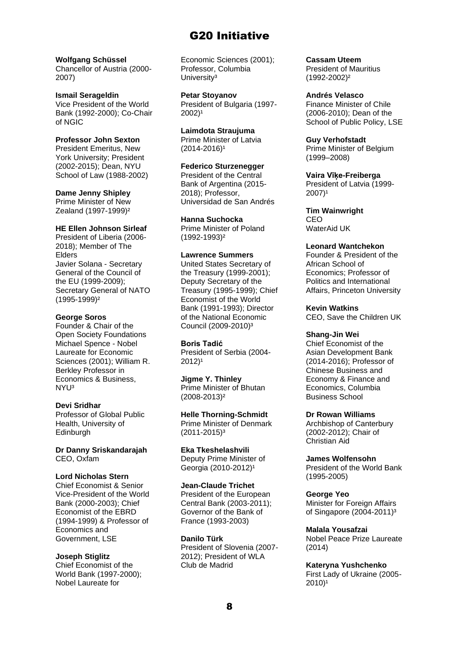#### **Wolfgang Schüssel**

Chancellor of Austria (2000- 2007)

#### **Ismail Serageldin**

Vice President of the World Bank (1992-2000); Co-Chair of NGIC

### **Professor John Sexton**

President Emeritus, New York University; President (2002-2015); Dean, NYU School of Law (1988-2002)

#### **Dame Jenny Shipley**

Prime Minister of New Zealand (1997-1999)²

### **HE Ellen Johnson Sirleaf**

President of Liberia (2006- 2018); Member of The Elders Javier Solana - Secretary General of the Council of the EU (1999-2009); Secretary General of NATO (1995-1999)²

### **George Soros**

Founder & Chair of the Open Society Foundations Michael Spence - Nobel Laureate for Economic Sciences (2001); William R. Berkley Professor in Economics & Business, NYU³

### **Devi Sridhar**

Professor of Global Public Health, University of Edinburgh

**Dr Danny Sriskandarajah** CEO, Oxfam

### **Lord Nicholas Stern**

Chief Economist & Senior Vice-President of the World Bank (2000-2003); Chief Economist of the EBRD (1994-1999) & Professor of Economics and Government, LSE

### **Joseph Stiglitz**

Chief Economist of the World Bank (1997-2000); Nobel Laureate for

Economic Sciences (2001); Professor, Columbia University<sup>3</sup>

**Petar Stoyanov** President of Bulgaria (1997-  $2002$ <sup>1</sup>

**Laimdota Straujuma** Prime Minister of Latvia  $(2014 - 2016)^1$ 

### **Federico Sturzenegger**

President of the Central Bank of Argentina (2015-2018); Professor, Universidad de San Andrés

### **Hanna Suchocka**

Prime Minister of Poland (1992-1993)²

#### **Lawrence Summers**

United States Secretary of the Treasury (1999-2001); Deputy Secretary of the Treasury (1995-1999); Chief Economist of the World Bank (1991-1993); Director of the National Economic Council (2009-2010)³

### **Boris Tadić**

President of Serbia (2004-  $2012$ <sup>1</sup>

**Jigme Y. Thinley** Prime Minister of Bhutan (2008-2013)²

**Helle Thorning-Schmidt** Prime Minister of Denmark  $(2011 - 2015)^3$ 

**Eka Tkeshelashvili** Deputy Prime Minister of Georgia (2010-2012)<sup>1</sup>

### **Jean-Claude Trichet**

President of the European Central Bank (2003-2011); Governor of the Bank of France (1993-2003)

**Danilo Türk**

President of Slovenia (2007- 2012); President of WLA Club de Madrid

**Cassam Uteem** President of Mauritius (1992-2002)²

**Andrés Velasco** Finance Minister of Chile (2006-2010); Dean of the School of Public Policy, LSE

**Guy Verhofstadt** Prime Minister of Belgium (1999–2008)

**Vaira Vīķe-Freiberga** President of Latvia (1999-  $2007$ <sup>1</sup>

**Tim Wainwright** CEO WaterAid UK

### **Leonard Wantchekon**

Founder & President of the African School of Economics; Professor of Politics and International Affairs, Princeton University

**Kevin Watkins** CEO, Save the Children UK

### **Shang-Jin Wei**

Chief Economist of the Asian Development Bank (2014-2016); Professor of Chinese Business and Economy & Finance and Economics, Columbia Business School

### **Dr Rowan Williams**

Archbishop of Canterbury (2002-2012); Chair of Christian Aid

**James Wolfensohn** President of the World Bank (1995-2005)

**George Yeo** Minister for Foreign Affairs of Singapore (2004-2011)³

**Malala Yousafzai** Nobel Peace Prize Laureate (2014)

**Kateryna Yushchenko** First Lady of Ukraine (2005-  $2010$ <sup>1</sup>